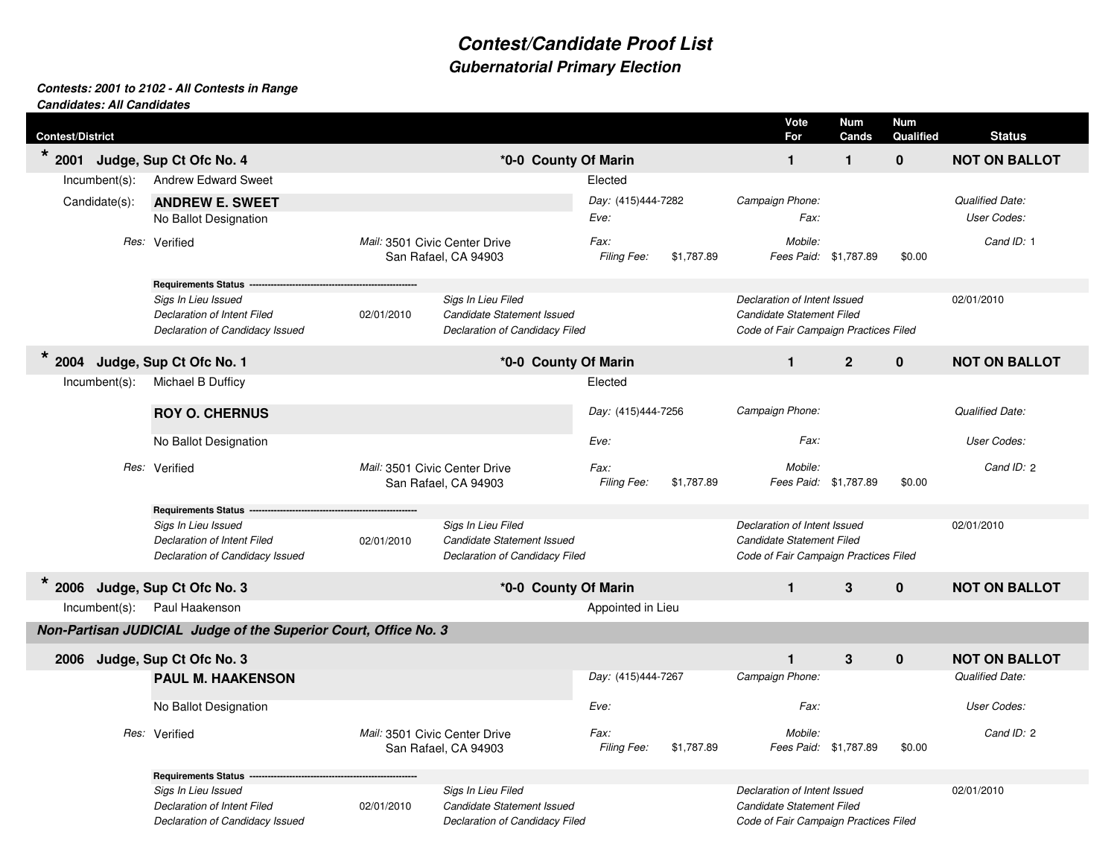## **Contest/Candidate Proof ListGubernatorial Primary Election**

## **Contests: 2001 to 2102 - All Contests in RangeCandidates: All Candidates**

| <b>Contest/District</b>                                         |                                                                 |                                |                                                       |                                   |            | Vote<br>For                                               | <b>Num</b><br>Cands       | <b>Num</b><br>Qualified | <b>Status</b>          |
|-----------------------------------------------------------------|-----------------------------------------------------------------|--------------------------------|-------------------------------------------------------|-----------------------------------|------------|-----------------------------------------------------------|---------------------------|-------------------------|------------------------|
| $\star$ 2001<br>*0-0 County Of Marin<br>Judge, Sup Ct Ofc No. 4 |                                                                 |                                |                                                       |                                   |            | $\mathbf{1}$                                              | $\mathbf{1}$              | $\mathbf 0$             | <b>NOT ON BALLOT</b>   |
| Incumbent(s):                                                   | <b>Andrew Edward Sweet</b>                                      |                                |                                                       | Elected                           |            |                                                           |                           |                         |                        |
| Candidate(s):                                                   | <b>ANDREW E. SWEET</b>                                          |                                |                                                       | Day: (415)444-7282                |            | Campaign Phone:                                           |                           |                         | <b>Qualified Date:</b> |
|                                                                 | No Ballot Designation                                           |                                |                                                       | Eve:                              |            | Fax:                                                      |                           |                         | <b>User Codes:</b>     |
|                                                                 |                                                                 |                                |                                                       |                                   |            |                                                           |                           |                         |                        |
| Res: Verified                                                   |                                                                 |                                | Mail: 3501 Civic Center Drive<br>San Rafael, CA 94903 | Fax:<br>Filing Fee:               | \$1,787.89 | Mobile:<br>Fees Paid: \$1,787.89                          |                           | \$0.00                  | Cand ID: 1             |
|                                                                 | Requirements Status --                                          |                                |                                                       |                                   |            |                                                           |                           |                         |                        |
| Sigs In Lieu Issued<br>Declaration of Intent Filed              |                                                                 |                                | Sigs In Lieu Filed                                    |                                   |            | Declaration of Intent Issued                              |                           | 02/01/2010              |                        |
|                                                                 |                                                                 | 02/01/2010                     | Candidate Statement Issued                            |                                   |            |                                                           | Candidate Statement Filed |                         |                        |
|                                                                 | Declaration of Candidacy Issued                                 |                                | Declaration of Candidacy Filed                        |                                   |            | Code of Fair Campaign Practices Filed                     |                           |                         |                        |
| $\star$<br>2004<br>Judge, Sup Ct Ofc No. 1                      |                                                                 |                                | *0-0 County Of Marin                                  |                                   |            |                                                           | $\overline{2}$            | $\mathbf 0$             | <b>NOT ON BALLOT</b>   |
| $lncumbent(s)$ :                                                | Michael B Dufficy                                               |                                |                                                       | Elected                           |            |                                                           |                           |                         |                        |
|                                                                 | <b>ROY O. CHERNUS</b>                                           |                                |                                                       | Day: (415)444-7256                |            | Campaign Phone:                                           |                           |                         | <b>Qualified Date:</b> |
|                                                                 |                                                                 |                                |                                                       |                                   |            |                                                           |                           |                         |                        |
|                                                                 | No Ballot Designation                                           |                                |                                                       | Eve:                              |            | Fax:                                                      |                           |                         | <b>User Codes:</b>     |
|                                                                 | Res: Verified<br>Mail: 3501 Civic Center Drive                  |                                |                                                       | Fax:                              |            | Mobile:                                                   |                           |                         | Cand ID: 2             |
|                                                                 |                                                                 |                                | San Rafael, CA 94903                                  | Filing Fee:                       | \$1,787.89 | Fees Paid: \$1,787.89                                     |                           | \$0.00                  |                        |
|                                                                 | Requirements Status --                                          |                                |                                                       |                                   |            |                                                           |                           |                         |                        |
|                                                                 | Sigs In Lieu Issued                                             |                                | Sigs In Lieu Filed                                    |                                   |            | Declaration of Intent Issued<br>Candidate Statement Filed |                           |                         | 02/01/2010             |
|                                                                 | Declaration of Intent Filed                                     | 02/01/2010                     | Candidate Statement Issued                            |                                   |            |                                                           |                           |                         |                        |
|                                                                 | Declaration of Candidacy Issued                                 | Declaration of Candidacy Filed |                                                       |                                   |            | Code of Fair Campaign Practices Filed                     |                           |                         |                        |
| 2006 Judge, Sup Ct Ofc No. 3                                    |                                                                 |                                | *0-0 County Of Marin                                  |                                   |            | $\mathbf{1}$                                              | 3                         | $\mathbf 0$             | <b>NOT ON BALLOT</b>   |
| $Incumbent(s)$ :                                                | Paul Haakenson                                                  |                                |                                                       | Appointed in Lieu                 |            |                                                           |                           |                         |                        |
|                                                                 | Non-Partisan JUDICIAL Judge of the Superior Court, Office No. 3 |                                |                                                       |                                   |            |                                                           |                           |                         |                        |
| 2006                                                            | Judge, Sup Ct Ofc No. 3                                         |                                |                                                       |                                   |            | $\mathbf{1}$                                              | 3                         | $\pmb{0}$               | <b>NOT ON BALLOT</b>   |
|                                                                 | <b>PAUL M. HAAKENSON</b>                                        |                                |                                                       | Day: (415)444-7267                |            | Campaign Phone:                                           |                           |                         | <b>Qualified Date:</b> |
|                                                                 | No Ballot Designation                                           |                                |                                                       |                                   | Eve:       |                                                           | Fax:                      |                         | <b>User Codes:</b>     |
|                                                                 |                                                                 | Mail: 3501 Civic Center Drive  |                                                       | Fax:<br>Filing Fee:<br>\$1,787.89 |            |                                                           |                           |                         |                        |
|                                                                 | Res: Verified                                                   |                                | San Rafael, CA 94903                                  |                                   |            | Mobile:<br>Fees Paid: \$1,787.89                          |                           | \$0.00                  | Cand ID: 2             |
|                                                                 | Requirements Status ---                                         |                                |                                                       |                                   |            |                                                           |                           |                         |                        |
|                                                                 | Sigs In Lieu Issued                                             |                                | Sigs In Lieu Filed                                    |                                   |            | Declaration of Intent Issued                              |                           |                         | 02/01/2010             |
|                                                                 |                                                                 |                                |                                                       |                                   |            | Candidate Statement Filed                                 |                           |                         |                        |
|                                                                 | Declaration of Intent Filed                                     | 02/01/2010                     | Candidate Statement Issued                            |                                   |            |                                                           |                           |                         |                        |